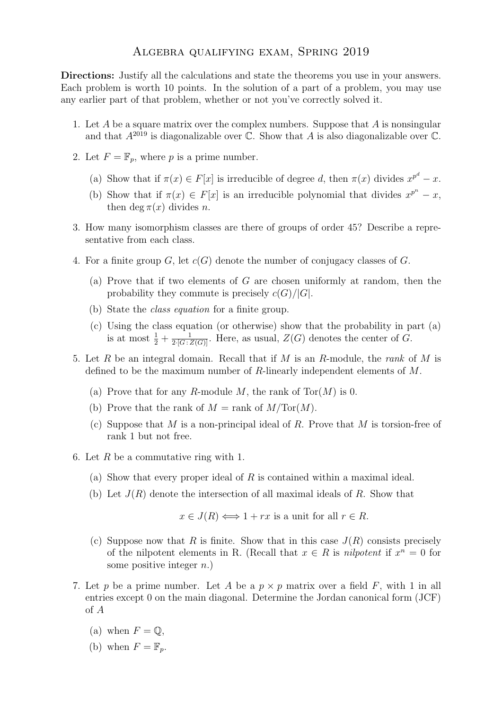## Algebra qualifying exam, Spring 2019

Directions: Justify all the calculations and state the theorems you use in your answers. Each problem is worth 10 points. In the solution of a part of a problem, you may use any earlier part of that problem, whether or not you've correctly solved it.

- 1. Let A be a square matrix over the complex numbers. Suppose that A is nonsingular and that  $A^{2019}$  is diagonalizable over  $\mathbb C$ . Show that A is also diagonalizable over  $\mathbb C$ .
- 2. Let  $F = \mathbb{F}_p$ , where p is a prime number.
	- (a) Show that if  $\pi(x) \in F[x]$  is irreducible of degree d, then  $\pi(x)$  divides  $x^{p^d} x$ .
	- (b) Show that if  $\pi(x) \in F[x]$  is an irreducible polynomial that divides  $x^{p^n} x$ , then deg  $\pi(x)$  divides *n*.
- 3. How many isomorphism classes are there of groups of order 45? Describe a representative from each class.
- 4. For a finite group G, let  $c(G)$  denote the number of conjugacy classes of G.
	- (a) Prove that if two elements of G are chosen uniformly at random, then the probability they commute is precisely  $c(G)/|G|$ .
	- (b) State the class equation for a finite group.
	- (c) Using the class equation (or otherwise) show that the probability in part (a) is at most  $\frac{1}{2} + \frac{1}{2\cdot [G:Z(G)]}$ . Here, as usual,  $Z(G)$  denotes the center of G.
- 5. Let R be an integral domain. Recall that if M is an R-module, the rank of M is defined to be the maximum number of R-linearly independent elements of M.
	- (a) Prove that for any R-module M, the rank of  $Tor(M)$  is 0.
	- (b) Prove that the rank of  $M = \text{rank of } M/\text{Tor}(M)$ .
	- (c) Suppose that M is a non-principal ideal of R. Prove that M is torsion-free of rank 1 but not free.
- 6. Let R be a commutative ring with 1.
	- (a) Show that every proper ideal of R is contained within a maximal ideal.
	- (b) Let  $J(R)$  denote the intersection of all maximal ideals of R. Show that

$$
x \in J(R) \Longleftrightarrow 1 + rx
$$
 is a unit for all  $r \in R$ .

- (c) Suppose now that R is finite. Show that in this case  $J(R)$  consists precisely of the nilpotent elements in R. (Recall that  $x \in R$  is nilpotent if  $x^n = 0$  for some positive integer  $n$ .)
- 7. Let p be a prime number. Let A be a  $p \times p$  matrix over a field F, with 1 in all entries except 0 on the main diagonal. Determine the Jordan canonical form (JCF) of A
	- (a) when  $F = \mathbb{Q}$ ,
	- (b) when  $F = \mathbb{F}_p$ .